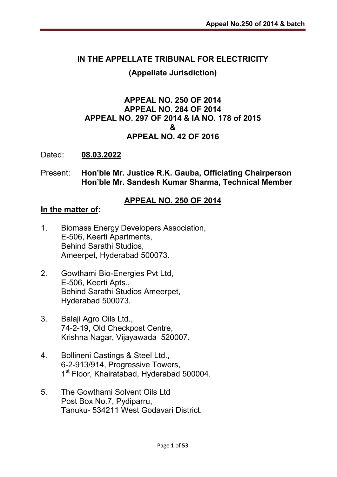## IN THE APPELLATE TRIBUNAL FOR ELECTRICITY

#### (Appellate Jurisdiction)

### APPEAL NO. 250 OF 2014 APPEAL NO. 284 OF 2014 APPEAL NO. 297 OF 2014 & IA NO. 178 of 2015 & APPEAL NO. 42 OF 2016

Dated: 08.03.2022

#### Present: Hon'ble Mr. Justice R.K. Gauba, Officiating Chairperson Hon'ble Mr. Sandesh Kumar Sharma, Technical Member

#### APPEAL NO. 250 OF 2014

#### In the matter of:

- 1. Biomass Energy Developers Association, E-506, Keerti Apartments, Behind Sarathi Studios, Ameerpet, Hyderabad 500073.
- 2. Gowthami Bio-Energies Pvt Ltd, E-506, Keerti Apts., Behind Sarathi Studios Ameerpet, Hyderabad 500073.
- 3. Balaji Agro Oils Ltd., 74-2-19, Old Checkpost Centre, Krishna Nagar, Vijayawada 520007.
- 4. Bollineni Castings & Steel Ltd., 6-2-913/914, Progressive Towers, 1<sup>st</sup> Floor, Khairatabad, Hyderabad 500004.
- 5. The Gowthami Solvent Oils Ltd Post Box No.7, Pydiparru, Tanuku- 534211 West Godavari District.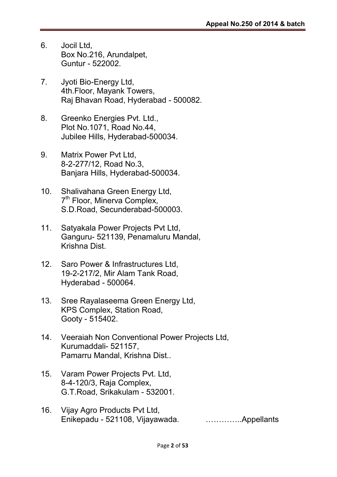- 6. Jocil Ltd, Box No.216, Arundalpet, Guntur - 522002.
- 7. Jyoti Bio-Energy Ltd, 4th.Floor, Mayank Towers, Raj Bhavan Road, Hyderabad - 500082.
- 8. Greenko Energies Pvt. Ltd., Plot No.1071, Road No.44, Jubilee Hills, Hyderabad-500034.
- 9. Matrix Power Pvt Ltd, 8-2-277/12, Road No.3, Banjara Hills, Hyderabad-500034.
- 10. Shalivahana Green Energy Ltd, 7<sup>th</sup> Floor, Minerva Complex, S.D.Road, Secunderabad-500003.
- 11. Satyakala Power Projects Pvt Ltd, Ganguru- 521139, Penamaluru Mandal, Krishna Dist.
- 12. Saro Power & Infrastructures Ltd, 19-2-217/2, Mir Alam Tank Road, Hyderabad - 500064.
- 13. Sree Rayalaseema Green Energy Ltd, KPS Complex, Station Road, Gooty - 515402.
- 14. Veeraiah Non Conventional Power Projects Ltd, Kurumaddali- 521157, Pamarru Mandal, Krishna Dist..
- 15. Varam Power Projects Pvt. Ltd, 8-4-120/3, Raja Complex, G.T.Road, Srikakulam - 532001.
- 16. Vijay Agro Products Pvt Ltd, Enikepadu - 521108, Vijayawada. …………..Appellants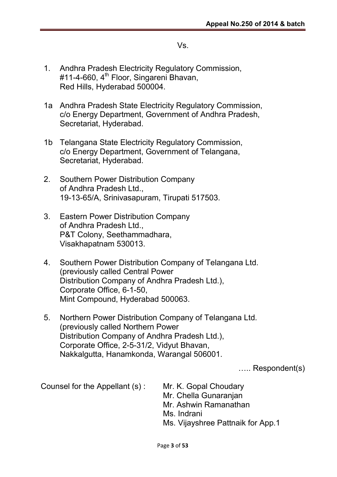#### Vs.

- 1. Andhra Pradesh Electricity Regulatory Commission, #11-4-660, 4<sup>th</sup> Floor, Singareni Bhavan, Red Hills, Hyderabad 500004.
- 1a Andhra Pradesh State Electricity Regulatory Commission, c/o Energy Department, Government of Andhra Pradesh, Secretariat, Hyderabad.
- 1b Telangana State Electricity Regulatory Commission, c/o Energy Department, Government of Telangana, Secretariat, Hyderabad.
- 2. Southern Power Distribution Company of Andhra Pradesh Ltd., 19-13-65/A, Srinivasapuram, Tirupati 517503.
- 3. Eastern Power Distribution Company of Andhra Pradesh Ltd., P&T Colony, Seethammadhara, Visakhapatnam 530013.
- 4. Southern Power Distribution Company of Telangana Ltd. (previously called Central Power Distribution Company of Andhra Pradesh Ltd.), Corporate Office, 6-1-50, Mint Compound, Hyderabad 500063.
- 5. Northern Power Distribution Company of Telangana Ltd. (previously called Northern Power Distribution Company of Andhra Pradesh Ltd.), Corporate Office, 2-5-31/2, Vidyut Bhavan, Nakkalgutta, Hanamkonda, Warangal 506001.

….. Respondent(s)

Counsel for the Appellant (s) : Mr. K. Gopal Choudary

Mr. Chella Gunaranjan Mr. Ashwin Ramanathan Ms. Indrani Ms. Vijayshree Pattnaik for App.1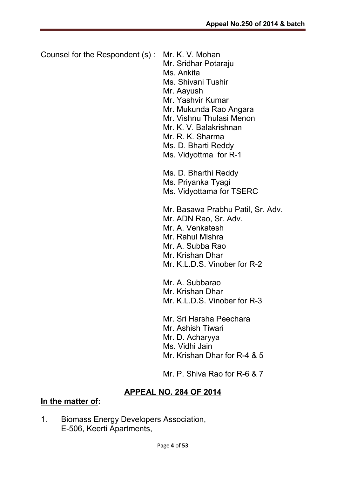Counsel for the Respondent (s) : Mr. K. V. Mohan Mr. Sridhar Potaraju Ms. Ankita Ms. Shivani Tushir Mr. Aayush Mr. Yashvir Kumar Mr. Mukunda Rao Angara Mr. Vishnu Thulasi Menon Mr. K. V. Balakrishnan Mr. R. K. Sharma Ms. D. Bharti Reddy Ms. Vidyottma for R-1 Ms. D. Bharthi Reddy Ms. Priyanka Tyagi Ms. Vidyottama for TSERC Mr. Basawa Prabhu Patil, Sr. Adv. Mr. ADN Rao, Sr. Adv. Mr. A. Venkatesh Mr. Rahul Mishra Mr. A. Subba Rao Mr. Krishan Dhar Mr. K.L.D.S. Vinober for R-2 Mr. A. Subbarao Mr. Krishan Dhar Mr. K.L.D.S. Vinober for R-3 Mr. Sri Harsha Peechara Mr. Ashish Tiwari Mr. D. Acharyya Ms. Vidhi Jain Mr. Krishan Dhar for R-4 & 5 Mr. P. Shiva Rao for R-6 & 7

## APPEAL NO. 284 OF 2014

#### In the matter of:

1. Biomass Energy Developers Association, E-506, Keerti Apartments,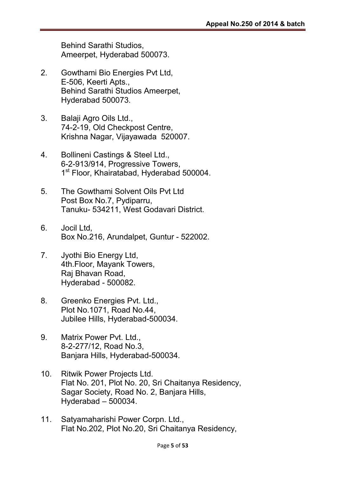Behind Sarathi Studios, Ameerpet, Hyderabad 500073.

- 2. Gowthami Bio Energies Pvt Ltd, E-506, Keerti Apts., Behind Sarathi Studios Ameerpet, Hyderabad 500073.
- 3. Balaji Agro Oils Ltd., 74-2-19, Old Checkpost Centre, Krishna Nagar, Vijayawada 520007.
- 4. Bollineni Castings & Steel Ltd., 6-2-913/914, Progressive Towers, 1<sup>st</sup> Floor, Khairatabad, Hyderabad 500004.
- 5. The Gowthami Solvent Oils Pvt Ltd Post Box No.7, Pydiparru, Tanuku- 534211, West Godavari District.
- 6. Jocil Ltd, Box No.216, Arundalpet, Guntur - 522002.
- 7. Jyothi Bio Energy Ltd, 4th.Floor, Mayank Towers, Raj Bhavan Road, Hyderabad - 500082.
- 8. Greenko Energies Pvt. Ltd., Plot No.1071, Road No.44, Jubilee Hills, Hyderabad-500034.
- 9. Matrix Power Pvt. Ltd., 8-2-277/12, Road No.3, Banjara Hills, Hyderabad-500034.
- 10. Ritwik Power Projects Ltd. Flat No. 201, Plot No. 20, Sri Chaitanya Residency, Sagar Society, Road No. 2, Banjara Hills, Hyderabad – 500034.
- 11. Satyamaharishi Power Corpn. Ltd., Flat No.202, Plot No.20, Sri Chaitanya Residency,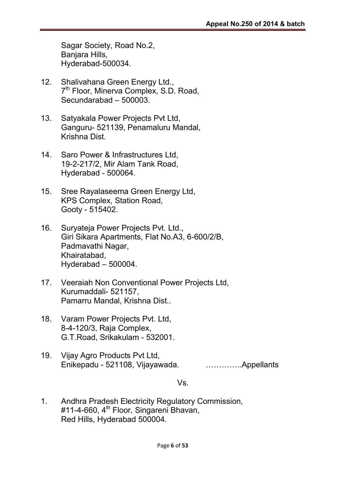Sagar Society, Road No.2, Banjara Hills, Hyderabad-500034.

- 12. Shalivahana Green Energy Ltd., 7<sup>th</sup> Floor, Minerva Complex, S.D. Road, Secundarabad – 500003.
- 13. Satyakala Power Projects Pvt Ltd, Ganguru- 521139, Penamaluru Mandal, Krishna Dist.
- 14. Saro Power & Infrastructures Ltd, 19-2-217/2, Mir Alam Tank Road, Hyderabad - 500064.
- 15. Sree Rayalaseema Green Energy Ltd, KPS Complex, Station Road, Gooty - 515402.
- 16. Suryateja Power Projects Pvt. Ltd., Giri Sikara Apartments, Flat No.A3, 6-600/2/B, Padmavathi Nagar, Khairatabad, Hyderabad – 500004.
- 17. Veeraiah Non Conventional Power Projects Ltd, Kurumaddali- 521157, Pamarru Mandal, Krishna Dist..
- 18. Varam Power Projects Pvt. Ltd, 8-4-120/3, Raja Complex, G.T.Road, Srikakulam - 532001.
- 19. Vijay Agro Products Pvt Ltd, Enikepadu - 521108, Vijayawada. …………..Appellants

Vs.

1. Andhra Pradesh Electricity Regulatory Commission, #11-4-660, 4<sup>th</sup> Floor, Singareni Bhavan, Red Hills, Hyderabad 500004.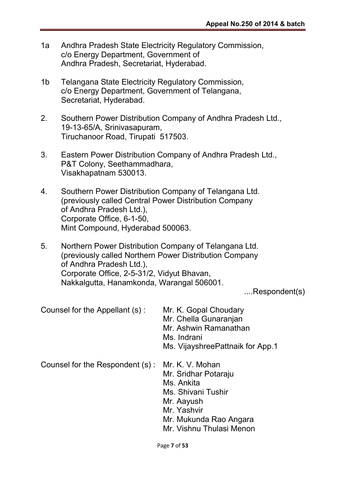- 1a Andhra Pradesh State Electricity Regulatory Commission, c/o Energy Department, Government of Andhra Pradesh, Secretariat, Hyderabad.
- 1b Telangana State Electricity Regulatory Commission, c/o Energy Department, Government of Telangana, Secretariat, Hyderabad.
- 2. Southern Power Distribution Company of Andhra Pradesh Ltd., 19-13-65/A, Srinivasapuram, Tiruchanoor Road, Tirupati 517503.
- 3. Eastern Power Distribution Company of Andhra Pradesh Ltd., P&T Colony, Seethammadhara, Visakhapatnam 530013.
- 4. Southern Power Distribution Company of Telangana Ltd. (previously called Central Power Distribution Company of Andhra Pradesh Ltd.), Corporate Office, 6-1-50, Mint Compound, Hyderabad 500063.
- 5. Northern Power Distribution Company of Telangana Ltd. (previously called Northern Power Distribution Company of Andhra Pradesh Ltd.), Corporate Office, 2-5-31/2, Vidyut Bhavan, Nakkalgutta, Hanamkonda, Warangal 506001.

....Respondent(s)

| Counsel for the Appellant (s):  | Mr. K. Gopal Choudary<br>Mr. Chella Gunaranjan<br>Mr. Ashwin Ramanathan<br>Ms. Indrani<br>Ms. VijayshreePattnaik for App.1                                     |
|---------------------------------|----------------------------------------------------------------------------------------------------------------------------------------------------------------|
| Counsel for the Respondent (s): | Mr. K. V. Mohan<br>Mr. Sridhar Potaraju<br>Ms. Ankita<br>Ms. Shivani Tushir<br>Mr. Aayush<br>Mr. Yashvir<br>Mr. Mukunda Rao Angara<br>Mr. Vishnu Thulasi Menon |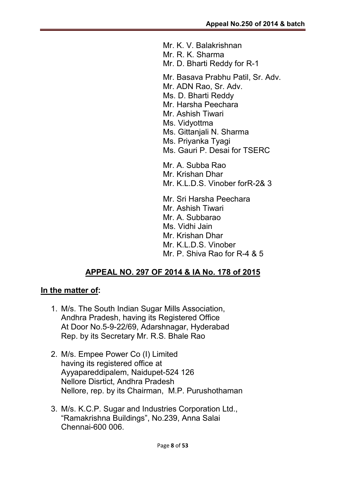Mr. K. V. Balakrishnan

Mr. R. K. Sharma

Mr. D. Bharti Reddy for R-1

Mr. Basava Prabhu Patil, Sr. Adv.

Mr. ADN Rao, Sr. Adv.

Ms. D. Bharti Reddy

Mr. Harsha Peechara

Mr. Ashish Tiwari

- Ms. Vidyottma
- Ms. Gittanjali N. Sharma
- Ms. Priyanka Tyagi
- Ms. Gauri P. Desai for TSERC

Mr. A. Subba Rao

- Mr. Krishan Dhar
- Mr. K.L.D.S. Vinober forR-2& 3

Mr. Sri Harsha Peechara

- Mr. Ashish Tiwari
- Mr. A. Subbarao

Ms. Vidhi Jain

Mr. Krishan Dhar

Mr. K.L.D.S. Vinober

Mr. P. Shiva Rao for R-4 & 5

#### APPEAL NO. 297 OF 2014 & IA No. 178 of 2015

#### In the matter of:

- 1. M/s. The South Indian Sugar Mills Association, Andhra Pradesh, having its Registered Office At Door No.5-9-22/69, Adarshnagar, Hyderabad Rep. by its Secretary Mr. R.S. Bhale Rao
- 2. M/s. Empee Power Co (I) Limited having its registered office at Ayyapareddipalem, Naidupet-524 126 Nellore Disrtict, Andhra Pradesh Nellore, rep. by its Chairman, M.P. Purushothaman
- 3. M/s. K.C.P. Sugar and Industries Corporation Ltd., "Ramakrishna Buildings", No.239, Anna Salai Chennai-600 006.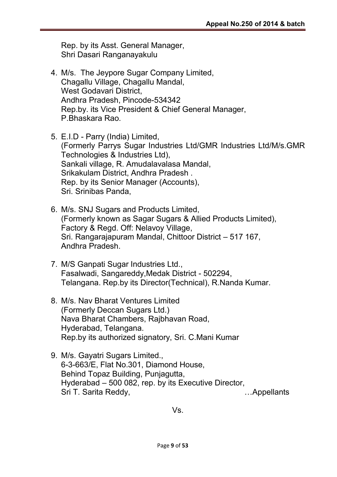Rep. by its Asst. General Manager, Shri Dasari Ranganayakulu

- 4. M/s. The Jeypore Sugar Company Limited, Chagallu Village, Chagallu Mandal, West Godavari District, Andhra Pradesh, Pincode-534342 Rep.by. its Vice President & Chief General Manager, P.Bhaskara Rao.
- 5. E.I.D Parry (India) Limited, (Formerly Parrys Sugar Industries Ltd/GMR Industries Ltd/M/s.GMR Technologies & Industries Ltd), Sankali village, R. Amudalavalasa Mandal, Srikakulam District, Andhra Pradesh . Rep. by its Senior Manager (Accounts), Sri. Srinibas Panda,
- 6. M/s. SNJ Sugars and Products Limited, (Formerly known as Sagar Sugars & Allied Products Limited), Factory & Regd. Off: Nelavoy Village, Sri. Rangarajapuram Mandal, Chittoor District – 517 167, Andhra Pradesh.
- 7. M/S Ganpati Sugar Industries Ltd., Fasalwadi, Sangareddy,Medak District - 502294, Telangana. Rep.by its Director(Technical), R.Nanda Kumar.
- 8. M/s. Nav Bharat Ventures Limited (Formerly Deccan Sugars Ltd.) Nava Bharat Chambers, Rajbhavan Road, Hyderabad, Telangana. Rep.by its authorized signatory, Sri. C.Mani Kumar
- 9. M/s. Gayatri Sugars Limited., 6-3-663/E, Flat No.301, Diamond House, Behind Topaz Building, Punjagutta, Hyderabad – 500 082, rep. by its Executive Director, Sri T. Sarita Reddy, **Example 20** Sri T. Sarita Reddy,

Vs.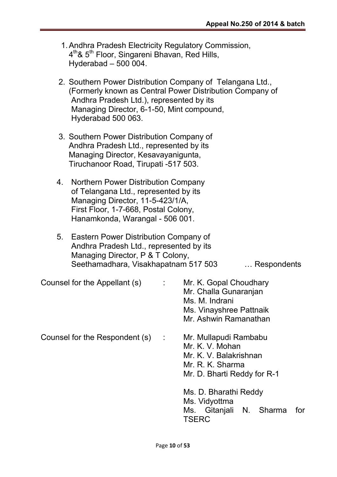- 1.Andhra Pradesh Electricity Regulatory Commission, 4<sup>th</sup>& 5<sup>th</sup> Floor, Singareni Bhavan, Red Hills, Hyderabad – 500 004.
- 2. Southern Power Distribution Company of Telangana Ltd., (Formerly known as Central Power Distribution Company of Andhra Pradesh Ltd.), represented by its Managing Director, 6-1-50, Mint compound, Hyderabad 500 063.
- 3. Southern Power Distribution Company of Andhra Pradesh Ltd., represented by its Managing Director, Kesavayanigunta, Tiruchanoor Road, Tirupati -517 503.
- 4. Northern Power Distribution Company of Telangana Ltd., represented by its Managing Director, 11-5-423/1/A, First Floor, 1-7-668, Postal Colony, Hanamkonda, Warangal - 506 001.
- 5. Eastern Power Distribution Company of Andhra Pradesh Ltd., represented by its Managing Director, P & T Colony, Seethamadhara, Visakhapatnam 517 503 … Respondents

Counsel for the Appellant (s)  $\cdot$  Mr. K. Gopal Choudhary

Counsel for the Respondent (s) : Mr. Mullapudi Rambabu

- Mr. Challa Gunaranjan Ms. M. Indrani Ms. Vinayshree Pattnaik Mr. Ashwin Ramanathan
	- Mr. K. V. Mohan Mr. K. V. Balakrishnan Mr. R. K. Sharma Mr. D. Bharti Reddy for R-1

Ms. D. Bharathi Reddy Ms. Vidyottma Ms. Gitanjali N. Sharma for **TSERC**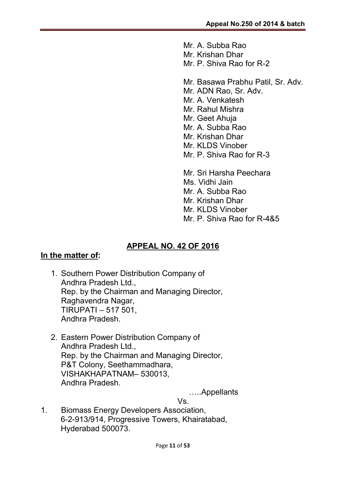Mr. A. Subba Rao Mr. Krishan Dhar Mr. P. Shiva Rao for R-2

- Mr. Basawa Prabhu Patil, Sr. Adv.
- Mr. ADN Rao, Sr. Adv.
- Mr. A. Venkatesh
- Mr. Rahul Mishra
- Mr. Geet Ahuja
- Mr. A. Subba Rao
- Mr. Krishan Dhar
- Mr. KLDS Vinober
- Mr. P. Shiva Rao for R-3
- Mr. Sri Harsha Peechara Ms. Vidhi Jain Mr. A. Subba Rao Mr. Krishan Dhar Mr. KLDS Vinober Mr. P. Shiva Rao for R-4&5

#### APPEAL NO. 42 OF 2016

#### In the matter of:

- 1. Southern Power Distribution Company of Andhra Pradesh Ltd., Rep. by the Chairman and Managing Director, Raghavendra Nagar, TIRUPATI – 517 501, Andhra Pradesh.
- 2. Eastern Power Distribution Company of Andhra Pradesh Ltd., Rep. by the Chairman and Managing Director, P&T Colony, Seethammadhara, VISHAKHAPATNAM– 530013, Andhra Pradesh.

…..Appellants

Vs.

1. Biomass Energy Developers Association, 6-2-913/914, Progressive Towers, Khairatabad, Hyderabad 500073.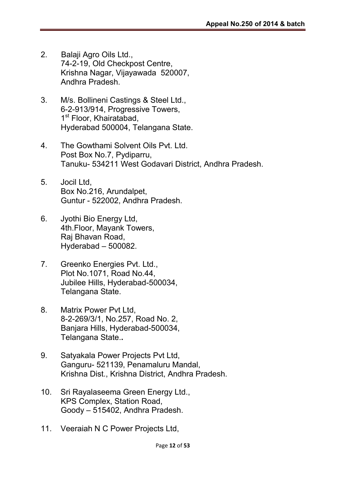- 2. Balaji Agro Oils Ltd., 74-2-19, Old Checkpost Centre, Krishna Nagar, Vijayawada 520007, Andhra Pradesh.
- 3. M/s. Bollineni Castings & Steel Ltd., 6-2-913/914, Progressive Towers, 1<sup>st</sup> Floor, Khairatabad, Hyderabad 500004, Telangana State.
- 4. The Gowthami Solvent Oils Pvt. Ltd. Post Box No.7, Pydiparru, Tanuku- 534211 West Godavari District, Andhra Pradesh.
- 5. Jocil Ltd, Box No.216, Arundalpet, Guntur - 522002, Andhra Pradesh.
- 6. Jyothi Bio Energy Ltd, 4th.Floor, Mayank Towers, Raj Bhavan Road, Hyderabad – 500082.
- 7. Greenko Energies Pvt. Ltd., Plot No.1071, Road No.44, Jubilee Hills, Hyderabad-500034, Telangana State.
- 8. Matrix Power Pvt Ltd, 8-2-269/3/1, No.257, Road No. 2, Banjara Hills, Hyderabad-500034, Telangana State..
- 9. Satyakala Power Projects Pvt Ltd, Ganguru- 521139, Penamaluru Mandal, Krishna Dist., Krishna District, Andhra Pradesh.
- 10. Sri Rayalaseema Green Energy Ltd., KPS Complex, Station Road, Goody – 515402, Andhra Pradesh.
- 11. Veeraiah N C Power Projects Ltd,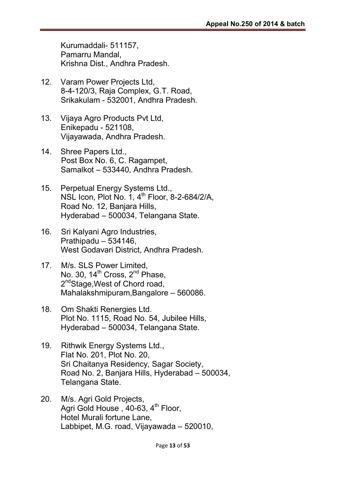Kurumaddali- 511157, Pamarru Mandal, Krishna Dist., Andhra Pradesh.

- 12. Varam Power Projects Ltd, 8-4-120/3, Raja Complex, G.T. Road, Srikakulam - 532001, Andhra Pradesh.
- 13. Vijaya Agro Products Pvt Ltd, Enikepadu - 521108, Vijayawada, Andhra Pradesh.
- 14. Shree Papers Ltd., Post Box No. 6, C. Ragampet, Samalkot – 533440, Andhra Pradesh.
- 15. Perpetual Energy Systems Ltd., NSL Icon, Plot No. 1,  $4<sup>th</sup>$  Floor, 8-2-684/2/A, Road No. 12, Banjara Hills, Hyderabad – 500034, Telangana State.
- 16. Sri Kalyani Agro Industries, Prathipadu – 534146, West Godavari District, Andhra Pradesh.
- 17. M/s. SLS Power Limited, No. 30, 14<sup>th</sup> Cross, 2<sup>nd</sup> Phase, 2<sup>nd</sup>Stage, West of Chord road, Mahalakshmipuram,Bangalore – 560086.
- 18. Om Shakti Renergies Ltd. Plot No. 1115, Road No. 54, Jubilee Hills, Hyderabad – 500034, Telangana State.
- 19. Rithwik Energy Systems Ltd., Flat No. 201, Plot No. 20, Sri Chaitanya Residency, Sagar Society, Road No. 2, Banjara Hills, Hyderabad – 500034, Telangana State.
- 20. M/s. Agri Gold Projects, Agri Gold House, 40-63, 4<sup>th</sup> Floor, Hotel Murali fortune Lane, Labbipet, M.G. road, Vijayawada – 520010,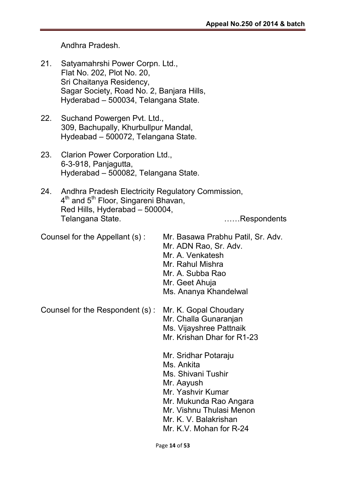Andhra Pradesh.

- 21. Satyamahrshi Power Corpn. Ltd., Flat No. 202, Plot No. 20, Sri Chaitanya Residency, Sagar Society, Road No. 2, Banjara Hills, Hyderabad – 500034, Telangana State.
- 22. Suchand Powergen Pvt. Ltd., 309, Bachupally, Khurbullpur Mandal, Hydeabad – 500072, Telangana State.
- 23. Clarion Power Corporation Ltd., 6-3-918, Panjagutta, Hyderabad – 500082, Telangana State.
- 24. Andhra Pradesh Electricity Regulatory Commission, 4<sup>th</sup> and 5<sup>th</sup> Floor, Singareni Bhavan, Red Hills, Hyderabad – 500004, Telangana State. ……Respondents

Counsel for the Appellant (s) : Mr. Basawa Prabhu Patil, Sr. Adv. Mr. ADN Rao, Sr. Adv. Mr. A. Venkatesh Mr. Rahul Mishra Mr. A. Subba Rao Mr. Geet Ahuja Ms. Ananya Khandelwal Counsel for the Respondent (s) : Mr. K. Gopal Choudary Mr. Challa Gunaranjan Ms. Vijayshree Pattnaik Mr. Krishan Dhar for R1-23 Mr. Sridhar Potaraju Ms. Ankita Ms. Shivani Tushir Mr. Aayush Mr. Yashvir Kumar Mr. Mukunda Rao Angara Mr. Vishnu Thulasi Menon Mr. K. V. Balakrishan Mr. K.V. Mohan for R-24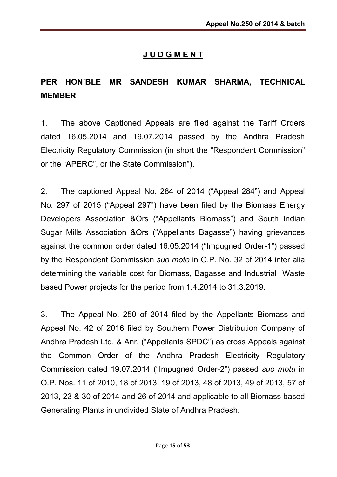## J U D G M E N T

## PER HON'BLE MR SANDESH KUMAR SHARMA, TECHNICAL MEMBER

1. The above Captioned Appeals are filed against the Tariff Orders dated 16.05.2014 and 19.07.2014 passed by the Andhra Pradesh Electricity Regulatory Commission (in short the "Respondent Commission" or the "APERC", or the State Commission").

2. The captioned Appeal No. 284 of 2014 ("Appeal 284") and Appeal No. 297 of 2015 ("Appeal 297") have been filed by the Biomass Energy Developers Association &Ors ("Appellants Biomass") and South Indian Sugar Mills Association &Ors ("Appellants Bagasse") having grievances against the common order dated 16.05.2014 ("Impugned Order-1") passed by the Respondent Commission *suo moto* in O.P. No. 32 of 2014 inter alia determining the variable cost for Biomass, Bagasse and Industrial Waste based Power projects for the period from 1.4.2014 to 31.3.2019.

3. The Appeal No. 250 of 2014 filed by the Appellants Biomass and Appeal No. 42 of 2016 filed by Southern Power Distribution Company of Andhra Pradesh Ltd. & Anr. ("Appellants SPDC") as cross Appeals against the Common Order of the Andhra Pradesh Electricity Regulatory Commission dated 19.07.2014 ("Impugned Order-2") passed *suo motu* in O.P. Nos. 11 of 2010, 18 of 2013, 19 of 2013, 48 of 2013, 49 of 2013, 57 of 2013, 23 & 30 of 2014 and 26 of 2014 and applicable to all Biomass based Generating Plants in undivided State of Andhra Pradesh.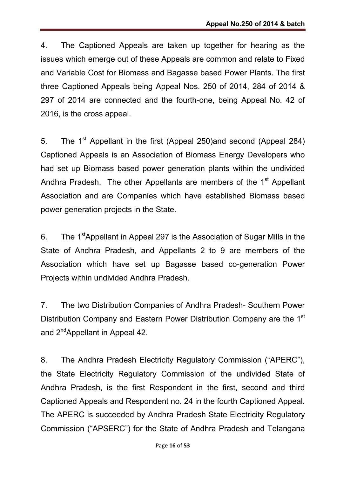4. The Captioned Appeals are taken up together for hearing as the issues which emerge out of these Appeals are common and relate to Fixed and Variable Cost for Biomass and Bagasse based Power Plants. The first three Captioned Appeals being Appeal Nos. 250 of 2014, 284 of 2014 & 297 of 2014 are connected and the fourth-one, being Appeal No. 42 of 2016, is the cross appeal.

5. The 1<sup>st</sup> Appellant in the first (Appeal 250)and second (Appeal 284) Captioned Appeals is an Association of Biomass Energy Developers who had set up Biomass based power generation plants within the undivided Andhra Pradesh. The other Appellants are members of the 1<sup>st</sup> Appellant Association and are Companies which have established Biomass based power generation projects in the State.

6. The 1<sup>st</sup>Appellant in Appeal 297 is the Association of Sugar Mills in the State of Andhra Pradesh, and Appellants 2 to 9 are members of the Association which have set up Bagasse based co-generation Power Projects within undivided Andhra Pradesh.

7. The two Distribution Companies of Andhra Pradesh- Southern Power Distribution Company and Eastern Power Distribution Company are the 1st and 2<sup>nd</sup>Appellant in Appeal 42.

8. The Andhra Pradesh Electricity Regulatory Commission ("APERC"), the State Electricity Regulatory Commission of the undivided State of Andhra Pradesh, is the first Respondent in the first, second and third Captioned Appeals and Respondent no. 24 in the fourth Captioned Appeal. The APERC is succeeded by Andhra Pradesh State Electricity Regulatory Commission ("APSERC") for the State of Andhra Pradesh and Telangana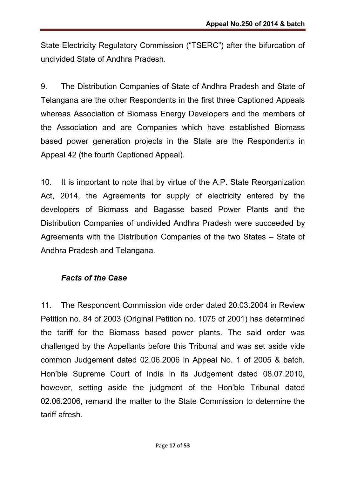State Electricity Regulatory Commission ("TSERC") after the bifurcation of undivided State of Andhra Pradesh.

9. The Distribution Companies of State of Andhra Pradesh and State of Telangana are the other Respondents in the first three Captioned Appeals whereas Association of Biomass Energy Developers and the members of the Association and are Companies which have established Biomass based power generation projects in the State are the Respondents in Appeal 42 (the fourth Captioned Appeal).

10. It is important to note that by virtue of the A.P. State Reorganization Act, 2014, the Agreements for supply of electricity entered by the developers of Biomass and Bagasse based Power Plants and the Distribution Companies of undivided Andhra Pradesh were succeeded by Agreements with the Distribution Companies of the two States – State of Andhra Pradesh and Telangana.

## *Facts of the Case*

11. The Respondent Commission vide order dated 20.03.2004 in Review Petition no. 84 of 2003 (Original Petition no. 1075 of 2001) has determined the tariff for the Biomass based power plants. The said order was challenged by the Appellants before this Tribunal and was set aside vide common Judgement dated 02.06.2006 in Appeal No. 1 of 2005 & batch. Hon'ble Supreme Court of India in its Judgement dated 08.07.2010, however, setting aside the judgment of the Hon'ble Tribunal dated 02.06.2006, remand the matter to the State Commission to determine the tariff afresh.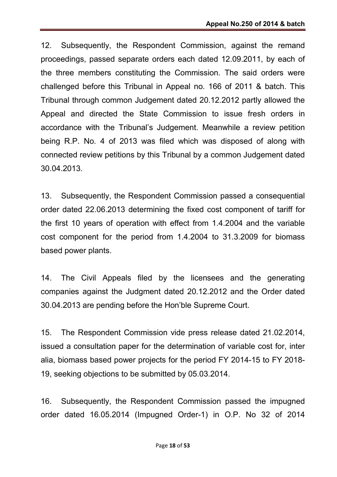12. Subsequently, the Respondent Commission, against the remand proceedings, passed separate orders each dated 12.09.2011, by each of the three members constituting the Commission. The said orders were challenged before this Tribunal in Appeal no. 166 of 2011 & batch. This Tribunal through common Judgement dated 20.12.2012 partly allowed the Appeal and directed the State Commission to issue fresh orders in accordance with the Tribunal's Judgement. Meanwhile a review petition being R.P. No. 4 of 2013 was filed which was disposed of along with connected review petitions by this Tribunal by a common Judgement dated 30.04.2013.

13. Subsequently, the Respondent Commission passed a consequential order dated 22.06.2013 determining the fixed cost component of tariff for the first 10 years of operation with effect from 1.4.2004 and the variable cost component for the period from 1.4.2004 to 31.3.2009 for biomass based power plants.

14. The Civil Appeals filed by the licensees and the generating companies against the Judgment dated 20.12.2012 and the Order dated 30.04.2013 are pending before the Hon'ble Supreme Court.

15. The Respondent Commission vide press release dated 21.02.2014, issued a consultation paper for the determination of variable cost for, inter alia, biomass based power projects for the period FY 2014-15 to FY 2018- 19, seeking objections to be submitted by 05.03.2014.

16. Subsequently, the Respondent Commission passed the impugned order dated 16.05.2014 (Impugned Order-1) in O.P. No 32 of 2014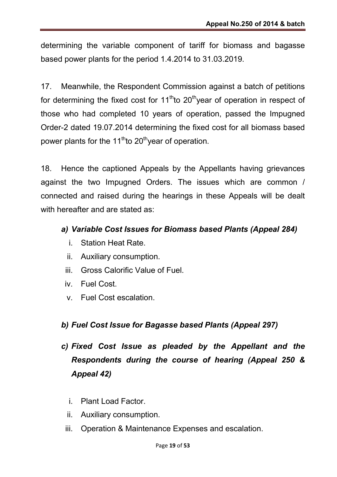determining the variable component of tariff for biomass and bagasse based power plants for the period 1.4.2014 to 31.03.2019.

17. Meanwhile, the Respondent Commission against a batch of petitions for determining the fixed cost for  $11<sup>th</sup>$  to  $20<sup>th</sup>$  year of operation in respect of those who had completed 10 years of operation, passed the Impugned Order-2 dated 19.07.2014 determining the fixed cost for all biomass based power plants for the 11<sup>th</sup>to 20<sup>th</sup> year of operation.

18. Hence the captioned Appeals by the Appellants having grievances against the two Impugned Orders. The issues which are common / connected and raised during the hearings in these Appeals will be dealt with hereafter and are stated as:

## *a) Variable Cost Issues for Biomass based Plants (Appeal 284)*

- i. Station Heat Rate.
- ii. Auxiliary consumption.
- iii. Gross Calorific Value of Fuel.
- iv. Fuel Cost.
- v. Fuel Cost escalation.

## *b) Fuel Cost Issue for Bagasse based Plants (Appeal 297)*

- *c) Fixed Cost Issue as pleaded by the Appellant and the Respondents during the course of hearing (Appeal 250 & Appeal 42)*
	- i. Plant Load Factor.
	- ii. Auxiliary consumption.
	- iii. Operation & Maintenance Expenses and escalation.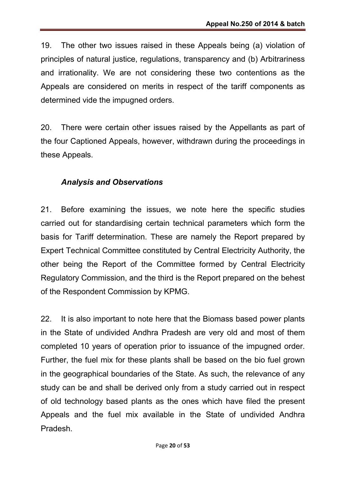19. The other two issues raised in these Appeals being (a) violation of principles of natural justice, regulations, transparency and (b) Arbitrariness and irrationality. We are not considering these two contentions as the Appeals are considered on merits in respect of the tariff components as determined vide the impugned orders.

20. There were certain other issues raised by the Appellants as part of the four Captioned Appeals, however, withdrawn during the proceedings in these Appeals.

### *Analysis and Observations*

21. Before examining the issues, we note here the specific studies carried out for standardising certain technical parameters which form the basis for Tariff determination. These are namely the Report prepared by Expert Technical Committee constituted by Central Electricity Authority, the other being the Report of the Committee formed by Central Electricity Regulatory Commission, and the third is the Report prepared on the behest of the Respondent Commission by KPMG.

22. It is also important to note here that the Biomass based power plants in the State of undivided Andhra Pradesh are very old and most of them completed 10 years of operation prior to issuance of the impugned order. Further, the fuel mix for these plants shall be based on the bio fuel grown in the geographical boundaries of the State. As such, the relevance of any study can be and shall be derived only from a study carried out in respect of old technology based plants as the ones which have filed the present Appeals and the fuel mix available in the State of undivided Andhra Pradesh.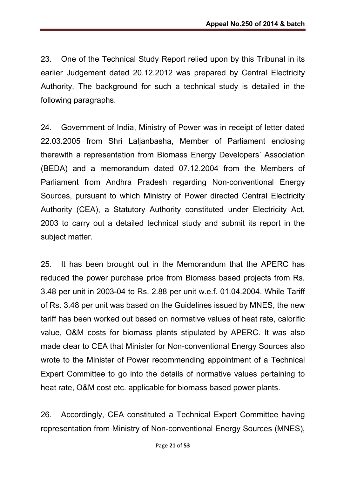23. One of the Technical Study Report relied upon by this Tribunal in its earlier Judgement dated 20.12.2012 was prepared by Central Electricity Authority. The background for such a technical study is detailed in the following paragraphs.

24. Government of India, Ministry of Power was in receipt of letter dated 22.03.2005 from Shri Laljanbasha, Member of Parliament enclosing therewith a representation from Biomass Energy Developers' Association (BEDA) and a memorandum dated 07.12.2004 from the Members of Parliament from Andhra Pradesh regarding Non-conventional Energy Sources, pursuant to which Ministry of Power directed Central Electricity Authority (CEA), a Statutory Authority constituted under Electricity Act, 2003 to carry out a detailed technical study and submit its report in the subject matter.

25. It has been brought out in the Memorandum that the APERC has reduced the power purchase price from Biomass based projects from Rs. 3.48 per unit in 2003-04 to Rs. 2.88 per unit w.e.f. 01.04.2004. While Tariff of Rs. 3.48 per unit was based on the Guidelines issued by MNES, the new tariff has been worked out based on normative values of heat rate, calorific value, O&M costs for biomass plants stipulated by APERC. It was also made clear to CEA that Minister for Non-conventional Energy Sources also wrote to the Minister of Power recommending appointment of a Technical Expert Committee to go into the details of normative values pertaining to heat rate, O&M cost etc. applicable for biomass based power plants.

26. Accordingly, CEA constituted a Technical Expert Committee having representation from Ministry of Non-conventional Energy Sources (MNES),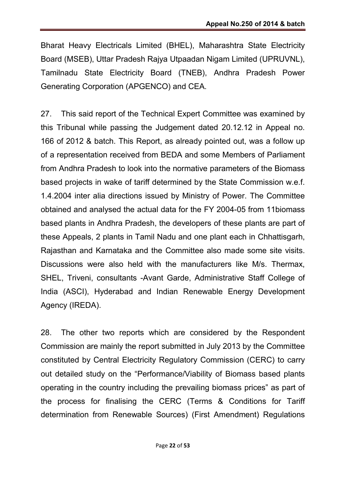Bharat Heavy Electricals Limited (BHEL), Maharashtra State Electricity Board (MSEB), Uttar Pradesh Rajya Utpaadan Nigam Limited (UPRUVNL), Tamilnadu State Electricity Board (TNEB), Andhra Pradesh Power Generating Corporation (APGENCO) and CEA.

27. This said report of the Technical Expert Committee was examined by this Tribunal while passing the Judgement dated 20.12.12 in Appeal no. 166 of 2012 & batch. This Report, as already pointed out, was a follow up of a representation received from BEDA and some Members of Parliament from Andhra Pradesh to look into the normative parameters of the Biomass based projects in wake of tariff determined by the State Commission w.e.f. 1.4.2004 inter alia directions issued by Ministry of Power. The Committee obtained and analysed the actual data for the FY 2004-05 from 11biomass based plants in Andhra Pradesh, the developers of these plants are part of these Appeals, 2 plants in Tamil Nadu and one plant each in Chhattisgarh, Rajasthan and Karnataka and the Committee also made some site visits. Discussions were also held with the manufacturers like M/s. Thermax, SHEL, Triveni, consultants -Avant Garde, Administrative Staff College of India (ASCI), Hyderabad and Indian Renewable Energy Development Agency (IREDA).

28. The other two reports which are considered by the Respondent Commission are mainly the report submitted in July 2013 by the Committee constituted by Central Electricity Regulatory Commission (CERC) to carry out detailed study on the "Performance/Viability of Biomass based plants operating in the country including the prevailing biomass prices" as part of the process for finalising the CERC (Terms & Conditions for Tariff determination from Renewable Sources) (First Amendment) Regulations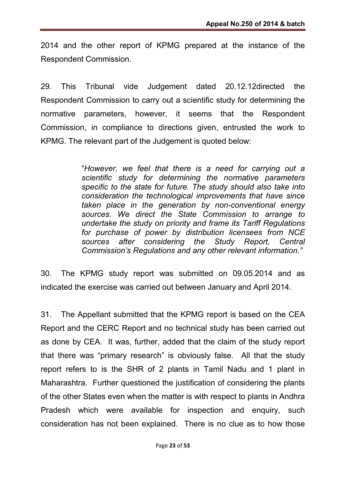2014 and the other report of KPMG prepared at the instance of the Respondent Commission.

29. This Tribunal vide Judgement dated 20.12.12directed the Respondent Commission to carry out a scientific study for determining the normative parameters, however, it seems that the Respondent Commission, in compliance to directions given, entrusted the work to KPMG. The relevant part of the Judgement is quoted below:

> "*However, we feel that there is a need for carrying out a scientific study for determining the normative parameters specific to the state for future. The study should also take into consideration the technological improvements that have since taken place in the generation by non-conventional energy sources. We direct the State Commission to arrange to undertake the study on priority and frame its Tariff Regulations for purchase of power by distribution licensees from NCE sources after considering the Study Report, Central Commission's Regulations and any other relevant information."*

30. The KPMG study report was submitted on 09.05.2014 and as indicated the exercise was carried out between January and April 2014.

31. The Appellant submitted that the KPMG report is based on the CEA Report and the CERC Report and no technical study has been carried out as done by CEA. It was, further, added that the claim of the study report that there was "primary research" is obviously false. All that the study report refers to is the SHR of 2 plants in Tamil Nadu and 1 plant in Maharashtra. Further questioned the justification of considering the plants of the other States even when the matter is with respect to plants in Andhra Pradesh which were available for inspection and enquiry, such consideration has not been explained. There is no clue as to how those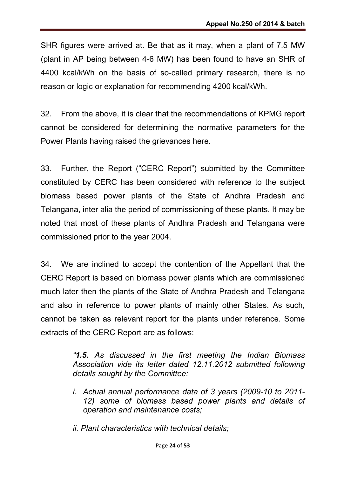SHR figures were arrived at. Be that as it may, when a plant of 7.5 MW (plant in AP being between 4-6 MW) has been found to have an SHR of 4400 kcal/kWh on the basis of so-called primary research, there is no reason or logic or explanation for recommending 4200 kcal/kWh.

32. From the above, it is clear that the recommendations of KPMG report cannot be considered for determining the normative parameters for the Power Plants having raised the grievances here.

33. Further, the Report ("CERC Report") submitted by the Committee constituted by CERC has been considered with reference to the subject biomass based power plants of the State of Andhra Pradesh and Telangana, inter alia the period of commissioning of these plants. It may be noted that most of these plants of Andhra Pradesh and Telangana were commissioned prior to the year 2004.

34. We are inclined to accept the contention of the Appellant that the CERC Report is based on biomass power plants which are commissioned much later then the plants of the State of Andhra Pradesh and Telangana and also in reference to power plants of mainly other States. As such, cannot be taken as relevant report for the plants under reference. Some extracts of the CERC Report are as follows:

> *"1.5. As discussed in the first meeting the Indian Biomass Association vide its letter dated 12.11.2012 submitted following details sought by the Committee:*

- *i. Actual annual performance data of 3 years (2009-10 to 2011- 12) some of biomass based power plants and details of operation and maintenance costs;*
- *ii. Plant characteristics with technical details;*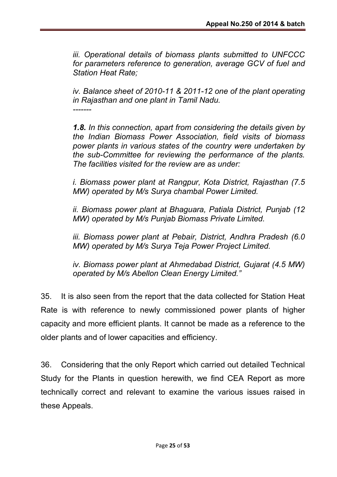*iii. Operational details of biomass plants submitted to UNFCCC for parameters reference to generation, average GCV of fuel and Station Heat Rate;*

*iv. Balance sheet of 2010-11 & 2011-12 one of the plant operating in Rajasthan and one plant in Tamil Nadu. -------*

*1.8. In this connection, apart from considering the details given by the Indian Biomass Power Association, field visits of biomass power plants in various states of the country were undertaken by the sub-Committee for reviewing the performance of the plants. The facilities visited for the review are as under:*

*i. Biomass power plant at Rangpur, Kota District, Rajasthan (7.5 MW) operated by M/s Surya chambal Power Limited.*

*ii. Biomass power plant at Bhaguara, Patiala District, Punjab (12 MW) operated by M/s Punjab Biomass Private Limited.*

*iii. Biomass power plant at Pebair, District, Andhra Pradesh (6.0 MW) operated by M/s Surya Teja Power Project Limited.*

*iv. Biomass power plant at Ahmedabad District, Gujarat (4.5 MW) operated by M/s Abellon Clean Energy Limited."*

35. It is also seen from the report that the data collected for Station Heat Rate is with reference to newly commissioned power plants of higher capacity and more efficient plants. It cannot be made as a reference to the older plants and of lower capacities and efficiency.

36. Considering that the only Report which carried out detailed Technical Study for the Plants in question herewith, we find CEA Report as more technically correct and relevant to examine the various issues raised in these Appeals.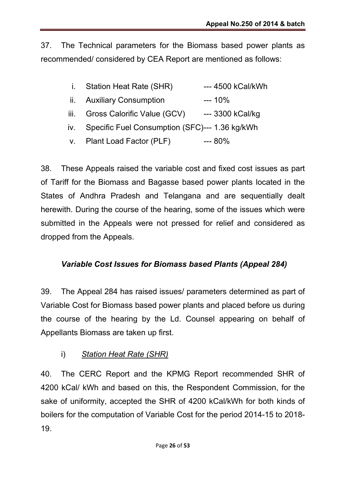37. The Technical parameters for the Biomass based power plants as recommended/ considered by CEA Report are mentioned as follows:

- i. Station Heat Rate (SHR) ---- 4500 kCal/kWh
- ii. Auxiliary Consumption --- 10%
- iii. Gross Calorific Value (GCV) ---- 3300 kCal/kg
- iv. Specific Fuel Consumption (SFC)--- 1.36 kg/kWh
- v. Plant Load Factor (PLF) --- 80%

38. These Appeals raised the variable cost and fixed cost issues as part of Tariff for the Biomass and Bagasse based power plants located in the States of Andhra Pradesh and Telangana and are sequentially dealt herewith. During the course of the hearing, some of the issues which were submitted in the Appeals were not pressed for relief and considered as dropped from the Appeals.

## *Variable Cost Issues for Biomass based Plants (Appeal 284)*

39. The Appeal 284 has raised issues/ parameters determined as part of Variable Cost for Biomass based power plants and placed before us during the course of the hearing by the Ld. Counsel appearing on behalf of Appellants Biomass are taken up first.

i) *Station Heat Rate (SHR)*

40. The CERC Report and the KPMG Report recommended SHR of 4200 kCal/ kWh and based on this, the Respondent Commission, for the sake of uniformity, accepted the SHR of 4200 kCal/kWh for both kinds of boilers for the computation of Variable Cost for the period 2014-15 to 2018- 19.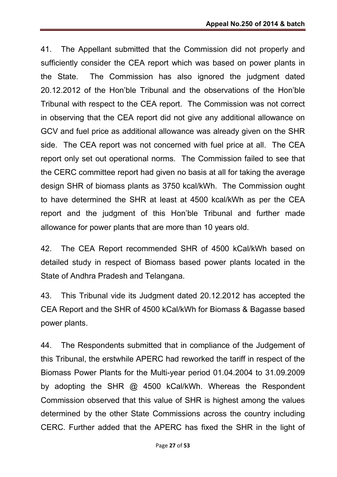41. The Appellant submitted that the Commission did not properly and sufficiently consider the CEA report which was based on power plants in the State. The Commission has also ignored the judgment dated 20.12.2012 of the Hon'ble Tribunal and the observations of the Hon'ble Tribunal with respect to the CEA report. The Commission was not correct in observing that the CEA report did not give any additional allowance on GCV and fuel price as additional allowance was already given on the SHR side. The CEA report was not concerned with fuel price at all. The CEA report only set out operational norms. The Commission failed to see that the CERC committee report had given no basis at all for taking the average design SHR of biomass plants as 3750 kcal/kWh. The Commission ought to have determined the SHR at least at 4500 kcal/kWh as per the CEA report and the judgment of this Hon'ble Tribunal and further made allowance for power plants that are more than 10 years old.

42. The CEA Report recommended SHR of 4500 kCal/kWh based on detailed study in respect of Biomass based power plants located in the State of Andhra Pradesh and Telangana.

43. This Tribunal vide its Judgment dated 20.12.2012 has accepted the CEA Report and the SHR of 4500 kCal/kWh for Biomass & Bagasse based power plants.

44. The Respondents submitted that in compliance of the Judgement of this Tribunal, the erstwhile APERC had reworked the tariff in respect of the Biomass Power Plants for the Multi-year period 01.04.2004 to 31.09.2009 by adopting the SHR @ 4500 kCal/kWh. Whereas the Respondent Commission observed that this value of SHR is highest among the values determined by the other State Commissions across the country including CERC. Further added that the APERC has fixed the SHR in the light of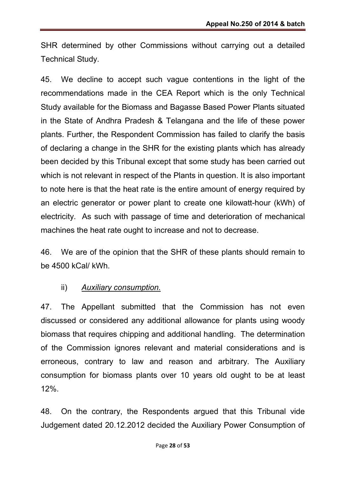SHR determined by other Commissions without carrying out a detailed Technical Study.

45. We decline to accept such vague contentions in the light of the recommendations made in the CEA Report which is the only Technical Study available for the Biomass and Bagasse Based Power Plants situated in the State of Andhra Pradesh & Telangana and the life of these power plants. Further, the Respondent Commission has failed to clarify the basis of declaring a change in the SHR for the existing plants which has already been decided by this Tribunal except that some study has been carried out which is not relevant in respect of the Plants in question. It is also important to note here is that the heat rate is the entire amount of energy required by an electric generator or power plant to create one kilowatt-hour (kWh) of electricity. As such with passage of time and deterioration of mechanical machines the heat rate ought to increase and not to decrease.

46. We are of the opinion that the SHR of these plants should remain to be 4500 kCal/ kWh.

## ii) *Auxiliary consumption.*

47. The Appellant submitted that the Commission has not even discussed or considered any additional allowance for plants using woody biomass that requires chipping and additional handling. The determination of the Commission ignores relevant and material considerations and is erroneous, contrary to law and reason and arbitrary. The Auxiliary consumption for biomass plants over 10 years old ought to be at least 12%.

48. On the contrary, the Respondents argued that this Tribunal vide Judgement dated 20.12.2012 decided the Auxiliary Power Consumption of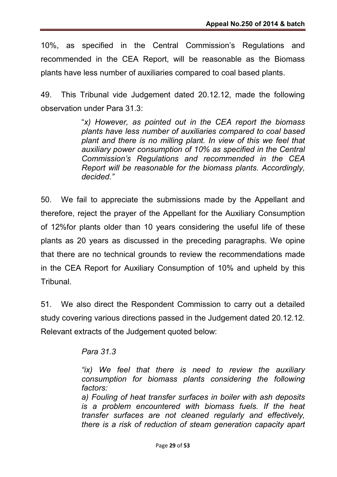10%, as specified in the Central Commission's Regulations and recommended in the CEA Report, will be reasonable as the Biomass plants have less number of auxiliaries compared to coal based plants.

49. This Tribunal vide Judgement dated 20.12.12, made the following observation under Para 31.3:

> "*x) However, as pointed out in the CEA report the biomass plants have less number of auxiliaries compared to coal based plant and there is no milling plant. In view of this we feel that auxiliary power consumption of 10% as specified in the Central Commission's Regulations and recommended in the CEA Report will be reasonable for the biomass plants. Accordingly, decided."*

50. We fail to appreciate the submissions made by the Appellant and therefore, reject the prayer of the Appellant for the Auxiliary Consumption of 12%for plants older than 10 years considering the useful life of these plants as 20 years as discussed in the preceding paragraphs. We opine that there are no technical grounds to review the recommendations made in the CEA Report for Auxiliary Consumption of 10% and upheld by this Tribunal.

51. We also direct the Respondent Commission to carry out a detailed study covering various directions passed in the Judgement dated 20.12.12. Relevant extracts of the Judgement quoted below:

*Para 31.3*

*"ix) We feel that there is need to review the auxiliary consumption for biomass plants considering the following factors:* 

*a) Fouling of heat transfer surfaces in boiler with ash deposits is a problem encountered with biomass fuels. If the heat transfer surfaces are not cleaned regularly and effectively, there is a risk of reduction of steam generation capacity apart*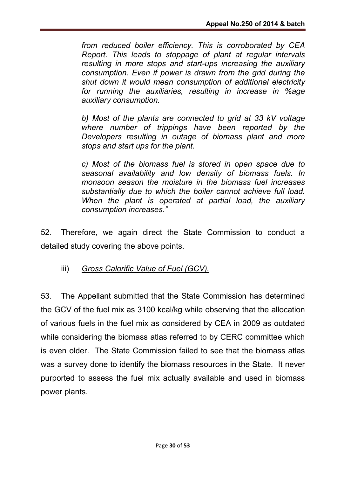*from reduced boiler efficiency. This is corroborated by CEA Report. This leads to stoppage of plant at regular intervals resulting in more stops and start-ups increasing the auxiliary consumption. Even if power is drawn from the grid during the shut down it would mean consumption of additional electricity for running the auxiliaries, resulting in increase in %age auxiliary consumption.*

*b) Most of the plants are connected to grid at 33 kV voltage where number of trippings have been reported by the Developers resulting in outage of biomass plant and more stops and start ups for the plant.*

*c) Most of the biomass fuel is stored in open space due to seasonal availability and low density of biomass fuels. In monsoon season the moisture in the biomass fuel increases substantially due to which the boiler cannot achieve full load. When the plant is operated at partial load, the auxiliary consumption increases."*

52. Therefore, we again direct the State Commission to conduct a detailed study covering the above points.

iii) *Gross Calorific Value of Fuel (GCV).*

53. The Appellant submitted that the State Commission has determined the GCV of the fuel mix as 3100 kcal/kg while observing that the allocation of various fuels in the fuel mix as considered by CEA in 2009 as outdated while considering the biomass atlas referred to by CERC committee which is even older. The State Commission failed to see that the biomass atlas was a survey done to identify the biomass resources in the State. It never purported to assess the fuel mix actually available and used in biomass power plants.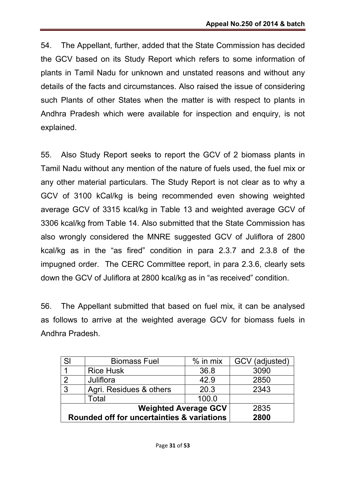54. The Appellant, further, added that the State Commission has decided the GCV based on its Study Report which refers to some information of plants in Tamil Nadu for unknown and unstated reasons and without any details of the facts and circumstances. Also raised the issue of considering such Plants of other States when the matter is with respect to plants in Andhra Pradesh which were available for inspection and enquiry, is not explained.

55. Also Study Report seeks to report the GCV of 2 biomass plants in Tamil Nadu without any mention of the nature of fuels used, the fuel mix or any other material particulars. The Study Report is not clear as to why a GCV of 3100 kCal/kg is being recommended even showing weighted average GCV of 3315 kcal/kg in Table 13 and weighted average GCV of 3306 kcal/kg from Table 14. Also submitted that the State Commission has also wrongly considered the MNRE suggested GCV of Juliflora of 2800 kcal/kg as in the "as fired" condition in para 2.3.7 and 2.3.8 of the impugned order. The CERC Committee report, in para 2.3.6, clearly sets down the GCV of Juliflora at 2800 kcal/kg as in "as received" condition.

56. The Appellant submitted that based on fuel mix, it can be analysed as follows to arrive at the weighted average GCV for biomass fuels in Andhra Pradesh.

| SI                                         | <b>Biomass Fuel</b>     | $%$ in mix | GCV (adjusted) |
|--------------------------------------------|-------------------------|------------|----------------|
|                                            | <b>Rice Husk</b>        | 36.8       | 3090           |
| $\mathcal{P}$                              | Juliflora               | 42.9       | 2850           |
| $\mathbf{3}$                               | Agri. Residues & others | 20.3       | 2343           |
|                                            | Total                   | 100.0      |                |
| <b>Weighted Average GCV</b>                |                         |            | 2835           |
| Rounded off for uncertainties & variations |                         |            | 2800           |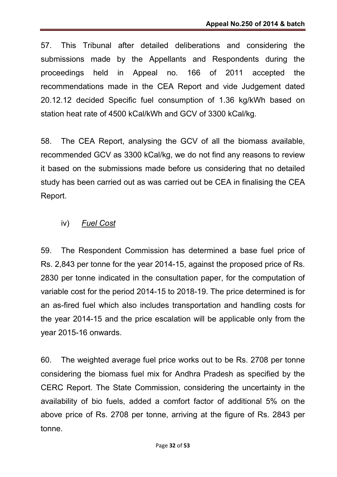57. This Tribunal after detailed deliberations and considering the submissions made by the Appellants and Respondents during the proceedings held in Appeal no. 166 of 2011 accepted the recommendations made in the CEA Report and vide Judgement dated 20.12.12 decided Specific fuel consumption of 1.36 kg/kWh based on station heat rate of 4500 kCal/kWh and GCV of 3300 kCal/kg.

58. The CEA Report, analysing the GCV of all the biomass available, recommended GCV as 3300 kCal/kg, we do not find any reasons to review it based on the submissions made before us considering that no detailed study has been carried out as was carried out be CEA in finalising the CEA Report.

#### iv) *Fuel Cost*

59. The Respondent Commission has determined a base fuel price of Rs. 2,843 per tonne for the year 2014-15, against the proposed price of Rs. 2830 per tonne indicated in the consultation paper, for the computation of variable cost for the period 2014-15 to 2018-19. The price determined is for an as-fired fuel which also includes transportation and handling costs for the year 2014-15 and the price escalation will be applicable only from the year 2015-16 onwards.

60. The weighted average fuel price works out to be Rs. 2708 per tonne considering the biomass fuel mix for Andhra Pradesh as specified by the CERC Report. The State Commission, considering the uncertainty in the availability of bio fuels, added a comfort factor of additional 5% on the above price of Rs. 2708 per tonne, arriving at the figure of Rs. 2843 per tonne.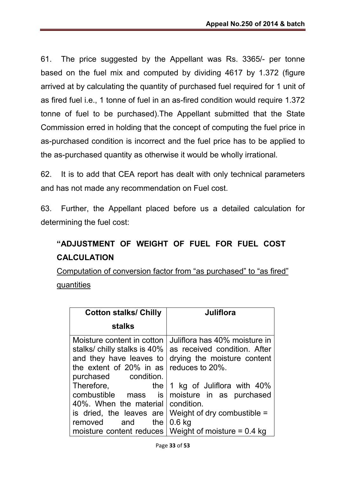61. The price suggested by the Appellant was Rs. 3365/- per tonne based on the fuel mix and computed by dividing 4617 by 1.372 (figure arrived at by calculating the quantity of purchased fuel required for 1 unit of as fired fuel i.e., 1 tonne of fuel in an as-fired condition would require 1.372 tonne of fuel to be purchased).The Appellant submitted that the State Commission erred in holding that the concept of computing the fuel price in as-purchased condition is incorrect and the fuel price has to be applied to the as-purchased quantity as otherwise it would be wholly irrational.

62. It is to add that CEA report has dealt with only technical parameters and has not made any recommendation on Fuel cost.

63. Further, the Appellant placed before us a detailed calculation for determining the fuel cost:

## "ADJUSTMENT OF WEIGHT OF FUEL FOR FUEL COST CALCULATION

Computation of conversion factor from "as purchased" to "as fired" quantities

| <b>Cotton stalks/ Chilly</b>                                                                                     | Juliflora                                                                                                       |
|------------------------------------------------------------------------------------------------------------------|-----------------------------------------------------------------------------------------------------------------|
| <b>stalks</b>                                                                                                    |                                                                                                                 |
| Moisture content in cotton<br>stalks/ chilly stalks is 40%<br>and they have leaves to<br>the extent of 20% in as | Juliflora has 40% moisture in<br>as received condition. After<br>drying the moisture content<br>reduces to 20%. |
| purchased condition.<br>Therefore,<br>the<br>combustible mass is<br>40%. When the material condition.            | 1 kg of Juliflora with 40%<br>moisture in as purchased<br>is dried, the leaves are Weight of dry combustible =  |
| the I<br>removed<br>and                                                                                          | $0.6$ kg<br>moisture content reduces   Weight of moisture = $0.4$ kg                                            |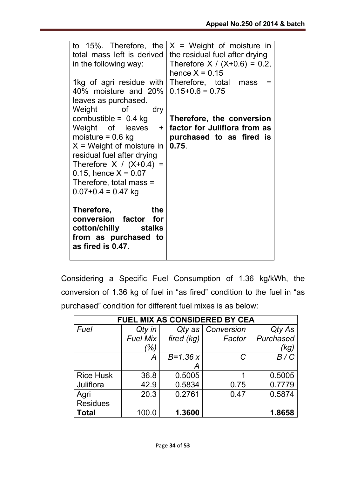| to 15%. Therefore, the<br>total mass left is derived<br>in the following way:<br>1kg of agri residue with<br>40% moisture and 20%<br>leaves as purchased.                                                                                                        | $X = Weight$ of moisture in<br>the residual fuel after drying<br>Therefore $X / (X+0.6) = 0.2$ ,<br>hence $X = 0.15$<br>Therefore, total mass<br>=<br>$0.15 + 0.6 = 0.75$ |
|------------------------------------------------------------------------------------------------------------------------------------------------------------------------------------------------------------------------------------------------------------------|---------------------------------------------------------------------------------------------------------------------------------------------------------------------------|
| Weight of<br>dry<br>combustible = $0.4$ kg<br>Weight of leaves +<br>moisture = $0.6$ kg<br>$X = Weight of moisture in$<br>residual fuel after drying<br>Therefore $X / (X+0.4) =$<br>0.15, hence $X = 0.07$<br>Therefore, total mass =<br>$0.07 + 0.4 = 0.47$ kg | Therefore, the conversion<br>factor for Juliflora from as<br>purchased to as fired is<br>0.75.                                                                            |
| Therefore, <b>contact</b><br>the<br>conversion factor for<br>cotton/chilly stalks<br>from as purchased to<br>as fired is 0.47.                                                                                                                                   |                                                                                                                                                                           |

Considering a Specific Fuel Consumption of 1.36 kg/kWh, the conversion of 1.36 kg of fuel in "as fired" condition to the fuel in "as purchased" condition for different fuel mixes is as below:

| <b>FUEL MIX AS CONSIDERED BY CEA</b> |          |              |            |           |
|--------------------------------------|----------|--------------|------------|-----------|
| Fuel                                 | Qty in   | Qty as       | Conversion | Qty As    |
|                                      | Fuel Mix | fired (kg)   | Factor     | Purchased |
|                                      | (%)      |              |            | (kg)      |
|                                      | А        | $B = 1.36 x$ | C          | B/C       |
|                                      |          | Α            |            |           |
| <b>Rice Husk</b>                     | 36.8     | 0.5005       | 1          | 0.5005    |
| Juliflora                            | 42.9     | 0.5834       | 0.75       | 0.7779    |
| Agri                                 | 20.3     | 0.2761       | 0.47       | 0.5874    |
| <b>Residues</b>                      |          |              |            |           |
| <b>Total</b>                         | 100.0    | 1.3600       |            | 1.8658    |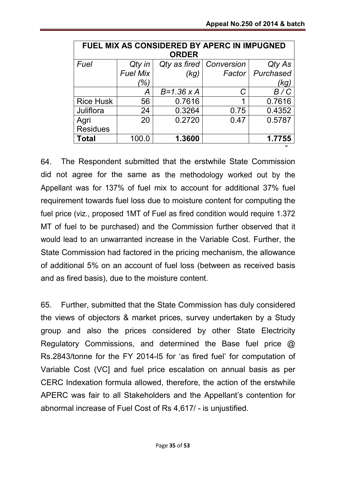|                  | FUEL MIX AS CONSIDERED BY APERC IN IMPUGNED |                     |            |           |
|------------------|---------------------------------------------|---------------------|------------|-----------|
|                  |                                             | <b>ORDER</b>        |            |           |
| Fuel             | Qty in                                      | Qty as fired        | Conversion | Qty As    |
|                  | <b>Fuel Mix</b>                             | (kg)                | Factor     | Purchased |
|                  | (%)                                         |                     |            | (kg)      |
|                  |                                             | $B = 1.36 \times A$ | C          | B/C       |
| <b>Rice Husk</b> | 56                                          | 0.7616              | 1          | 0.7616    |
| Juliflora        | 24                                          | 0.3264              | 0.75       | 0.4352    |
| Agri             | 20                                          | 0.2720              | 0.47       | 0.5787    |
| <b>Residues</b>  |                                             |                     |            |           |
| <b>Total</b>     | 100.0                                       | 1.3600              |            | 1.7755    |

64. The Respondent submitted that the erstwhile State Commission did not agree for the same as the methodology worked out by the Appellant was for 137% of fuel mix to account for additional 37% fuel requirement towards fuel loss due to moisture content for computing the fuel price (viz., proposed 1MT of Fuel as fired condition would require 1.372 MT of fuel to be purchased) and the Commission further observed that it would lead to an unwarranted increase in the Variable Cost. Further, the State Commission had factored in the pricing mechanism, the allowance of additional 5% on an account of fuel loss (between as received basis and as fired basis), due to the moisture content.

65. Further, submitted that the State Commission has duly considered the views of objectors & market prices, survey undertaken by a Study group and also the prices considered by other State Electricity Regulatory Commissions, and determined the Base fuel price @ Rs.2843/tonne for the FY 2014-l5 for 'as fired fuel' for computation of Variable Cost (VC] and fuel price escalation on annual basis as per CERC Indexation formula allowed, therefore, the action of the erstwhile APERC was fair to all Stakeholders and the Appellant's contention for abnormal increase of Fuel Cost of Rs 4,617/ - is unjustified.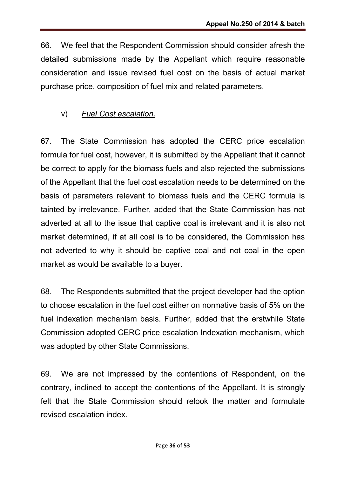66. We feel that the Respondent Commission should consider afresh the detailed submissions made by the Appellant which require reasonable consideration and issue revised fuel cost on the basis of actual market purchase price, composition of fuel mix and related parameters.

## v) *Fuel Cost escalation.*

67. The State Commission has adopted the CERC price escalation formula for fuel cost, however, it is submitted by the Appellant that it cannot be correct to apply for the biomass fuels and also rejected the submissions of the Appellant that the fuel cost escalation needs to be determined on the basis of parameters relevant to biomass fuels and the CERC formula is tainted by irrelevance. Further, added that the State Commission has not adverted at all to the issue that captive coal is irrelevant and it is also not market determined, if at all coal is to be considered, the Commission has not adverted to why it should be captive coal and not coal in the open market as would be available to a buyer.

68. The Respondents submitted that the project developer had the option to choose escalation in the fuel cost either on normative basis of 5% on the fuel indexation mechanism basis. Further, added that the erstwhile State Commission adopted CERC price escalation Indexation mechanism, which was adopted by other State Commissions.

69. We are not impressed by the contentions of Respondent, on the contrary, inclined to accept the contentions of the Appellant. It is strongly felt that the State Commission should relook the matter and formulate revised escalation index.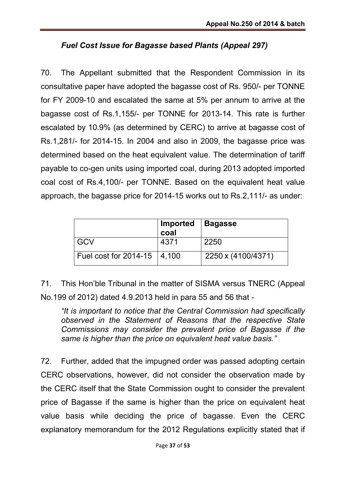## *Fuel Cost Issue for Bagasse based Plants (Appeal 297)*

70. The Appellant submitted that the Respondent Commission in its consultative paper have adopted the bagasse cost of Rs. 950/- per TONNE for FY 2009-10 and escalated the same at 5% per annum to arrive at the bagasse cost of Rs.1,155/- per TONNE for 2013-14. This rate is further escalated by 10.9% (as determined by CERC) to arrive at bagasse cost of Rs.1,281/- for 2014-15. In 2004 and also in 2009, the bagasse price was determined based on the heat equivalent value. The determination of tariff payable to co-gen units using imported coal, during 2013 adopted imported coal cost of Rs.4,100/- per TONNE. Based on the equivalent heat value approach, the bagasse price for 2014-15 works out to Rs.2,111/- as under:

|                                   | ∣ Imported<br>coal | <b>Bagasse</b>     |
|-----------------------------------|--------------------|--------------------|
| GCV                               | 4371               | 2250               |
| Fuel cost for $2014 - 15$   4,100 |                    | 2250 x (4100/4371) |

71. This Hon'ble Tribunal in the matter of SISMA versus TNERC (Appeal No.199 of 2012) dated 4.9.2013 held in para 55 and 56 that -

*"It is important to notice that the Central Commission had specifically observed in the Statement of Reasons that the respective State Commissions may consider the prevalent price of Bagasse if the same is higher than the price on equivalent heat value basis."*

72. Further, added that the impugned order was passed adopting certain CERC observations, however, did not consider the observation made by the CERC itself that the State Commission ought to consider the prevalent price of Bagasse if the same is higher than the price on equivalent heat value basis while deciding the price of bagasse. Even the CERC explanatory memorandum for the 2012 Regulations explicitly stated that if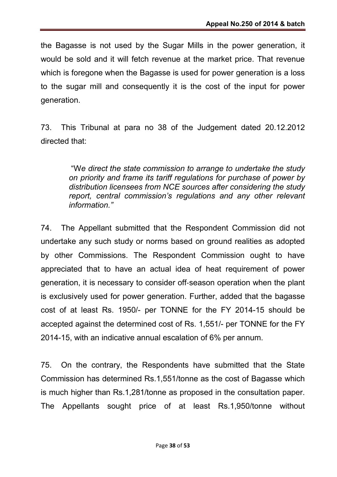the Bagasse is not used by the Sugar Mills in the power generation, it would be sold and it will fetch revenue at the market price. That revenue which is foregone when the Bagasse is used for power generation is a loss to the sugar mill and consequently it is the cost of the input for power generation.

73. This Tribunal at para no 38 of the Judgement dated 20.12.2012 directed that:

> "W*e direct the state commission to arrange to undertake the study on priority and frame its tariff regulations for purchase of power by distribution licensees from NCE sources after considering the study report, central commission's regulations and any other relevant information."*

74. The Appellant submitted that the Respondent Commission did not undertake any such study or norms based on ground realities as adopted by other Commissions. The Respondent Commission ought to have appreciated that to have an actual idea of heat requirement of power generation, it is necessary to consider off‐season operation when the plant is exclusively used for power generation. Further, added that the bagasse cost of at least Rs. 1950/- per TONNE for the FY 2014-15 should be accepted against the determined cost of Rs. 1,551/- per TONNE for the FY 2014-15, with an indicative annual escalation of 6% per annum.

75. On the contrary, the Respondents have submitted that the State Commission has determined Rs.1,551/tonne as the cost of Bagasse which is much higher than Rs.1,281/tonne as proposed in the consultation paper. The Appellants sought price of at least Rs.1,950/tonne without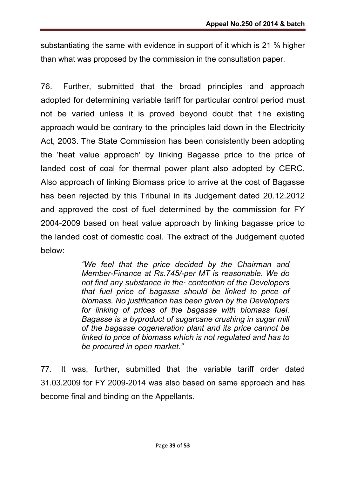substantiating the same with evidence in support of it which is 21 % higher than what was proposed by the commission in the consultation paper.

76. Further, submitted that the broad principles and approach adopted for determining variable tariff for particular control period must not be varied unless it is proved beyond doubt that t he existing approach would be contrary to the principles laid down in the Electricity Act, 2003. The State Commission has been consistently been adopting the 'heat value approach' by linking Bagasse price to the price of landed cost of coal for thermal power plant also adopted by CERC. Also approach of linking Biomass price to arrive at the cost of Bagasse has been rejected by this Tribunal in its Judgement dated 20.12.2012 and approved the cost of fuel determined by the commission for FY 2004-2009 based on heat value approach by linking bagasse price to the landed cost of domestic coal. The extract of the Judgement quoted below:

> *"We feel that the price decided by the Chairman and Member-Finance at Rs.745/-per MT is reasonable. We do not find any substance in the· contention of the Developers that fuel price of bagasse should be linked to price of biomass. No justification has been given by the Developers for linking of prices of the bagasse with biomass fuel. Bagasse is a byproduct of sugarcane crushing in sugar mill of the bagasse cogeneration plant and its price cannot be linked to price of biomass which is not regulated and has to be procured in open market."*

77. It was, further, submitted that the variable tariff order dated 31.03.2009 for FY 2009-2014 was also based on same approach and has become final and binding on the Appellants.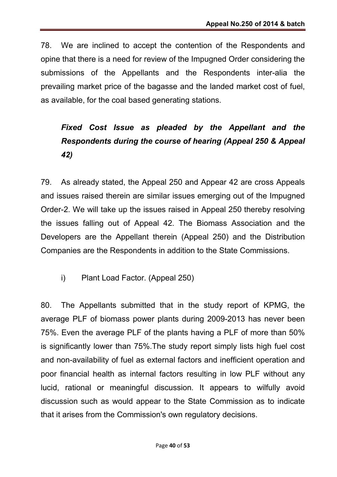78. We are inclined to accept the contention of the Respondents and opine that there is a need for review of the Impugned Order considering the submissions of the Appellants and the Respondents inter-alia the prevailing market price of the bagasse and the landed market cost of fuel, as available, for the coal based generating stations.

# *Fixed Cost Issue as pleaded by the Appellant and the Respondents during the course of hearing (Appeal 250 & Appeal 42)*

79. As already stated, the Appeal 250 and Appear 42 are cross Appeals and issues raised therein are similar issues emerging out of the Impugned Order-2. We will take up the issues raised in Appeal 250 thereby resolving the issues falling out of Appeal 42. The Biomass Association and the Developers are the Appellant therein (Appeal 250) and the Distribution Companies are the Respondents in addition to the State Commissions.

i) Plant Load Factor. (Appeal 250)

80. The Appellants submitted that in the study report of KPMG, the average PLF of biomass power plants during 2009-2013 has never been 75%. Even the average PLF of the plants having a PLF of more than 50% is significantly lower than 75%.The study report simply lists high fuel cost and non-availability of fuel as external factors and inefficient operation and poor financial health as internal factors resulting in low PLF without any lucid, rational or meaningful discussion. It appears to wilfully avoid discussion such as would appear to the State Commission as to indicate that it arises from the Commission's own regulatory decisions.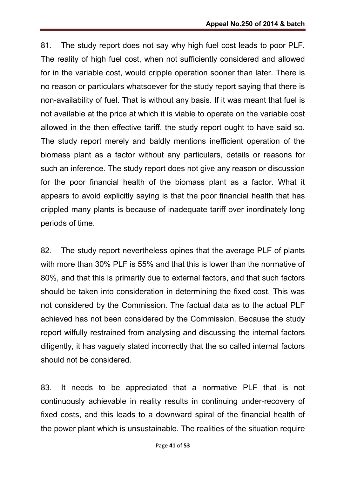81. The study report does not say why high fuel cost leads to poor PLF. The reality of high fuel cost, when not sufficiently considered and allowed for in the variable cost, would cripple operation sooner than later. There is no reason or particulars whatsoever for the study report saying that there is non-availability of fuel. That is without any basis. If it was meant that fuel is not available at the price at which it is viable to operate on the variable cost allowed in the then effective tariff, the study report ought to have said so. The study report merely and baldly mentions inefficient operation of the biomass plant as a factor without any particulars, details or reasons for such an inference. The study report does not give any reason or discussion for the poor financial health of the biomass plant as a factor. What it appears to avoid explicitly saying is that the poor financial health that has crippled many plants is because of inadequate tariff over inordinately long periods of time.

82. The study report nevertheless opines that the average PLF of plants with more than 30% PLF is 55% and that this is lower than the normative of 80%, and that this is primarily due to external factors, and that such factors should be taken into consideration in determining the fixed cost. This was not considered by the Commission. The factual data as to the actual PLF achieved has not been considered by the Commission. Because the study report wilfully restrained from analysing and discussing the internal factors diligently, it has vaguely stated incorrectly that the so called internal factors should not be considered.

83. It needs to be appreciated that a normative PLF that is not continuously achievable in reality results in continuing under-recovery of fixed costs, and this leads to a downward spiral of the financial health of the power plant which is unsustainable. The realities of the situation require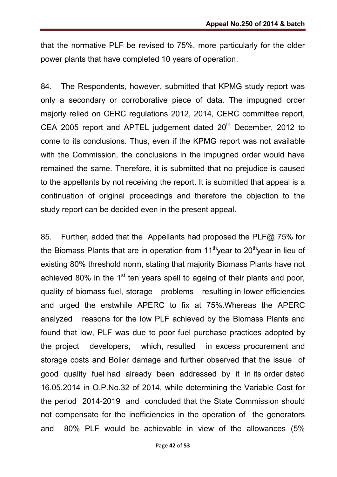that the normative PLF be revised to 75%, more particularly for the older power plants that have completed 10 years of operation.

84. The Respondents, however, submitted that KPMG study report was only a secondary or corroborative piece of data. The impugned order majorly relied on CERC regulations 2012, 2014, CERC committee report, CEA 2005 report and APTEL judgement dated 20<sup>th</sup> December, 2012 to come to its conclusions. Thus, even if the KPMG report was not available with the Commission, the conclusions in the impugned order would have remained the same. Therefore, it is submitted that no prejudice is caused to the appellants by not receiving the report. It is submitted that appeal is a continuation of original proceedings and therefore the objection to the study report can be decided even in the present appeal.

85. Further, added that the Appellants had proposed the PLF@ 75% for the Biomass Plants that are in operation from  $11<sup>th</sup>$  year to 20<sup>th</sup> year in lieu of existing 80% threshold norm, stating that majority Biomass Plants have not achieved 80% in the  $1<sup>st</sup>$  ten years spell to ageing of their plants and poor, quality of biomass fuel, storage problems resulting in lower efficiencies and urged the erstwhile APERC to fix at 75%.Whereas the APERC analyzed reasons for the low PLF achieved by the Biomass Plants and found that low, PLF was due to poor fuel purchase practices adopted by the project developers, which, resulted in excess procurement and storage costs and Boiler damage and further observed that the issue of good quality fuel had already been addressed by it in its order dated 16.05.2014 in O.P.No.32 of 2014, while determining the Variable Cost for the period 2014-2019 and concluded that the State Commission should not compensate for the inefficiencies in the operation of the generators and 80% PLF would be achievable in view of the allowances (5%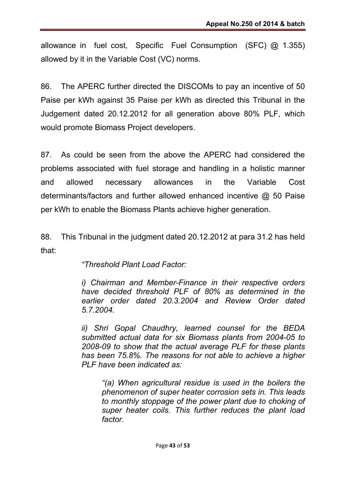allowance in fuel cost, Specific Fuel Consumption (SFC) @ 1.355) allowed by it in the Variable Cost (VC) norms.

86. The APERC further directed the DISCOMs to pay an incentive of 50 Paise per kWh against 35 Paise per kWh as directed this Tribunal in the Judgement dated 20.12.2012 for all generation above 80% PLF, which would promote Biomass Project developers.

87. As could be seen from the above the APERC had considered the problems associated with fuel storage and handling in a holistic manner and allowed necessary allowances in the Variable Cost determinants/factors and further allowed enhanced incentive @ 50 Paise per kWh to enable the Biomass Plants achieve higher generation.

88. This Tribunal in the judgment dated 20.12.2012 at para 31.2 has held that:

*"Threshold Plant Load Factor:*

*i) Chairman and Member-Finance in their respective orders have decided threshold PLF of 80% as determined in the earlier order dated 20.3.2004 and Review Order dated 5.7.2004.*

*ii) Shri Gopal Chaudhry, learned counsel for the BEDA submitted actual data for six Biomass plants from 2004-05 to 2008-09 to show that the actual average PLF for these plants has been 75.8%. The reasons for not able to achieve a higher PLF have been indicated as:*

*"(a) When agricultural residue is used in the boilers the phenomenon of super heater corrosion sets in. This leads to monthly stoppage of the power plant due to choking of super heater coils. This further reduces the plant load factor.*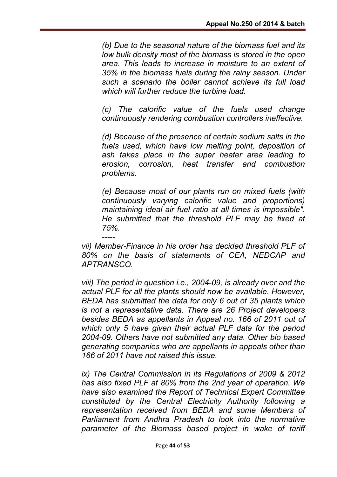*(b) Due to the seasonal nature of the biomass fuel and its low bulk density most of the biomass is stored in the open area. This leads to increase in moisture to an extent of 35% in the biomass fuels during the rainy season. Under such a scenario the boiler cannot achieve its full load which will further reduce the turbine load.*

*(c) The calorific value of the fuels used change continuously rendering combustion controllers ineffective.*

*(d) Because of the presence of certain sodium salts in the fuels used, which have low melting point, deposition of ash takes place in the super heater area leading to erosion, corrosion, heat transfer and combustion problems.*

*(e) Because most of our plants run on mixed fuels (with continuously varying calorific value and proportions) maintaining ideal air fuel ratio at all times is impossible". He submitted that the threshold PLF may be fixed at 75%.*

*---- vii) Member-Finance in his order has decided threshold PLF of 80% on the basis of statements of CEA, NEDCAP and APTRANSCO.*

*viii) The period in question i.e., 2004-09, is already over and the actual PLF for all the plants should now be available. However, BEDA has submitted the data for only 6 out of 35 plants which is not a representative data. There are 26 Project developers besides BEDA as appellants in Appeal no. 166 of 2011 out of which only 5 have given their actual PLF data for the period 2004-09. Others have not submitted any data. Other bio based generating companies who are appellants in appeals other than 166 of 2011 have not raised this issue.*

*ix) The Central Commission in its Regulations of 2009 & 2012 has also fixed PLF at 80% from the 2nd year of operation. We have also examined the Report of Technical Expert Committee constituted by the Central Electricity Authority following a representation received from BEDA and some Members of Parliament from Andhra Pradesh to look into the normative parameter of the Biomass based project in wake of tariff*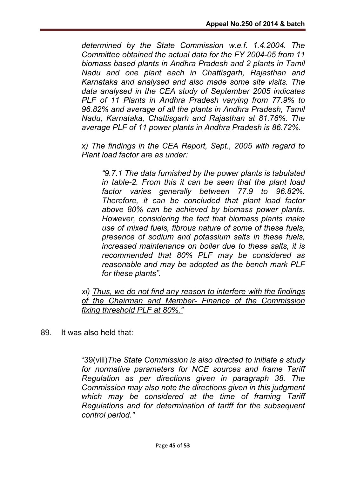*determined by the State Commission w.e.f. 1.4.2004. The Committee obtained the actual data for the FY 2004-05 from 11 biomass based plants in Andhra Pradesh and 2 plants in Tamil Nadu and one plant each in Chattisgarh, Rajasthan and Karnataka and analysed and also made some site visits. The data analysed in the CEA study of September 2005 indicates PLF of 11 Plants in Andhra Pradesh varying from 77.9% to 96.82% and average of all the plants in Andhra Pradesh, Tamil Nadu, Karnataka, Chattisgarh and Rajasthan at 81.76%. The average PLF of 11 power plants in Andhra Pradesh is 86.72%.*

*x) The findings in the CEA Report, Sept., 2005 with regard to Plant load factor are as under:*

*"9.7.1 The data furnished by the power plants is tabulated in table-2. From this it can be seen that the plant load factor varies generally between 77.9 to 96.82%. Therefore, it can be concluded that plant load factor above 80% can be achieved by biomass power plants. However, considering the fact that biomass plants make use of mixed fuels, fibrous nature of some of these fuels, presence of sodium and potassium salts in these fuels, increased maintenance on boiler due to these salts, it is recommended that 80% PLF may be considered as reasonable and may be adopted as the bench mark PLF for these plants".*

*xi) Thus, we do not find any reason to interfere with the findings of the Chairman and Member- Finance of the Commission fixing threshold PLF at 80%."*

89. It was also held that:

"39(viii)*The State Commission is also directed to initiate a study for normative parameters for NCE sources and frame Tariff Regulation as per directions given in paragraph 38. The Commission may also note the directions given in this judgment which may be considered at the time of framing Tariff Regulations and for determination of tariff for the subsequent control period."*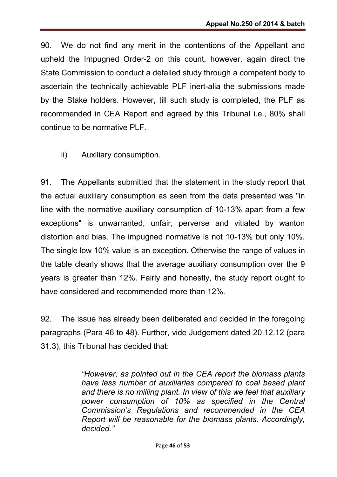90. We do not find any merit in the contentions of the Appellant and upheld the Impugned Order-2 on this count, however, again direct the State Commission to conduct a detailed study through a competent body to ascertain the technically achievable PLF inert-alia the submissions made by the Stake holders. However, till such study is completed, the PLF as recommended in CEA Report and agreed by this Tribunal i.e., 80% shall continue to be normative PLF.

ii) Auxiliary consumption.

91. The Appellants submitted that the statement in the study report that the actual auxiliary consumption as seen from the data presented was "in line with the normative auxiliary consumption of 10-13% apart from a few exceptions" is unwarranted, unfair, perverse and vitiated by wanton distortion and bias. The impugned normative is not 10-13% but only 10%. The single low 10% value is an exception. Otherwise the range of values in the table clearly shows that the average auxiliary consumption over the 9 years is greater than 12%. Fairly and honestly, the study report ought to have considered and recommended more than 12%.

92. The issue has already been deliberated and decided in the foregoing paragraphs (Para 46 to 48). Further, vide Judgement dated 20.12.12 (para 31.3), this Tribunal has decided that:

> *"However, as pointed out in the CEA report the biomass plants have less number of auxiliaries compared to coal based plant and there is no milling plant. In view of this we feel that auxiliary power consumption of 10% as specified in the Central Commission's Regulations and recommended in the CEA Report will be reasonable for the biomass plants. Accordingly, decided."*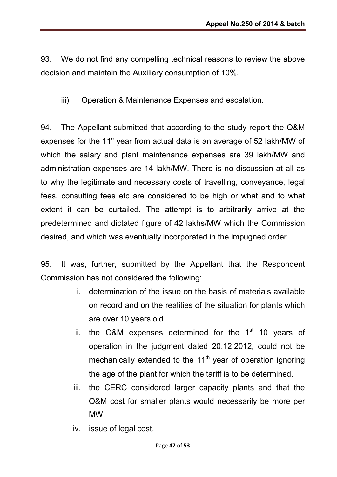93. We do not find any compelling technical reasons to review the above decision and maintain the Auxiliary consumption of 10%.

iii) Operation & Maintenance Expenses and escalation.

94. The Appellant submitted that according to the study report the O&M expenses for the 11" year from actual data is an average of 52 lakh/MW of which the salary and plant maintenance expenses are 39 lakh/MW and administration expenses are 14 lakh/MW. There is no discussion at all as to why the legitimate and necessary costs of travelling, conveyance, legal fees, consulting fees etc are considered to be high or what and to what extent it can be curtailed. The attempt is to arbitrarily arrive at the predetermined and dictated figure of 42 lakhs/MW which the Commission desired, and which was eventually incorporated in the impugned order.

95. It was, further, submitted by the Appellant that the Respondent Commission has not considered the following:

- i. determination of the issue on the basis of materials available on record and on the realities of the situation for plants which are over 10 years old.
- ii. the O&M expenses determined for the  $1<sup>st</sup>$  10 years of operation in the judgment dated 20.12.2012, could not be mechanically extended to the  $11<sup>th</sup>$  year of operation ignoring the age of the plant for which the tariff is to be determined.
- iii. the CERC considered larger capacity plants and that the O&M cost for smaller plants would necessarily be more per MW.
- iv. issue of legal cost.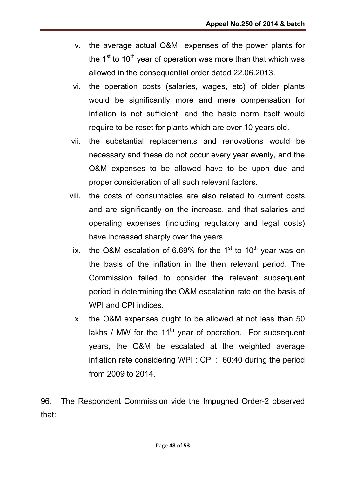- v. the average actual O&M expenses of the power plants for the  $1<sup>st</sup>$  to  $10<sup>th</sup>$  year of operation was more than that which was allowed in the consequential order dated 22.06.2013.
- vi. the operation costs (salaries, wages, etc) of older plants would be significantly more and mere compensation for inflation is not sufficient, and the basic norm itself would require to be reset for plants which are over 10 years old.
- vii. the substantial replacements and renovations would be necessary and these do not occur every year evenly, and the O&M expenses to be allowed have to be upon due and proper consideration of all such relevant factors.
- viii. the costs of consumables are also related to current costs and are significantly on the increase, and that salaries and operating expenses (including regulatory and legal costs) have increased sharply over the years.
	- ix. the O&M escalation of 6.69% for the  $1<sup>st</sup>$  to  $10<sup>th</sup>$  year was on the basis of the inflation in the then relevant period. The Commission failed to consider the relevant subsequent period in determining the O&M escalation rate on the basis of WPI and CPI indices
	- x. the O&M expenses ought to be allowed at not less than 50 lakhs / MW for the 11<sup>th</sup> year of operation. For subsequent years, the O&M be escalated at the weighted average inflation rate considering WPI : CPI :: 60:40 during the period from 2009 to 2014.

96. The Respondent Commission vide the Impugned Order-2 observed that: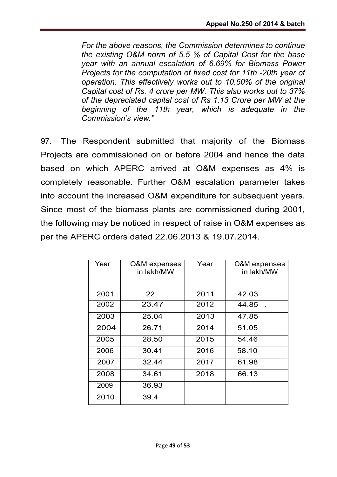*For the above reasons, the Commission determines to continue the existing O&M norm of 5.5 % of Capital Cost for the base year with an annual escalation of 6.69% for Biomass Power Projects for the computation of fixed cost for 11th -20th year of operation. This effectively works out to 10.50% of the original Capital cost of Rs. 4 crore per MW. This also works out to 37% of the depreciated capital cost of Rs 1.13 Crore per MW at the beginning of the 11th year, which is adequate in the Commission's view."*

97. The Respondent submitted that majority of the Biomass Projects are commissioned on or before 2004 and hence the data based on which APERC arrived at O&M expenses as 4% is completely reasonable. Further O&M escalation parameter takes into account the increased O&M expenditure for subsequent years. Since most of the biomass plants are commissioned during 2001, the following may be noticed in respect of raise in O&M expenses as per the APERC orders dated 22.06.2013 & 19.07.2014.

| Year | O&M expenses<br>in lakh/MW | Year | <b>O&amp;M</b> expenses<br>in lakh/MW |
|------|----------------------------|------|---------------------------------------|
| 2001 | 22                         | 2011 | 42.03                                 |
| 2002 | 23.47                      | 2012 | 44.85                                 |
| 2003 | 25.04                      | 2013 | 47.85                                 |
| 2004 | 26.71                      | 2014 | 51.05                                 |
| 2005 | 28.50                      | 2015 | 54.46                                 |
| 2006 | 30.41                      | 2016 | 58.10                                 |
| 2007 | 32.44                      | 2017 | 61.98                                 |
| 2008 | 34.61                      | 2018 | 66.13                                 |
| 2009 | 36.93                      |      |                                       |
| 2010 | 39.4                       |      |                                       |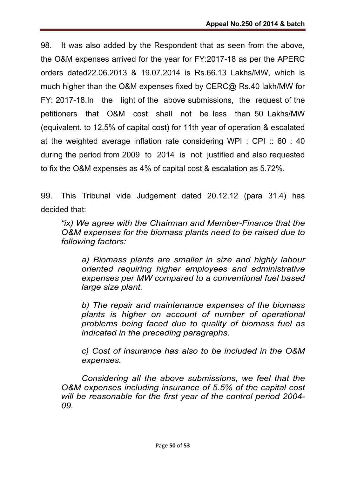98. It was also added by the Respondent that as seen from the above, the O&M expenses arrived for the year for FY:2017-18 as per the APERC orders dated22.06.2013 & 19.07.2014 is Rs.66.13 Lakhs/MW, which is much higher than the O&M expenses fixed by CERC@ Rs.40 lakh/MW for FY: 2017-18.In the light of the above submissions, the request of the petitioners that O&M cost shall not be less than 50 Lakhs/MW (equivalent. to 12.5% of capital cost) for 11th year of operation & escalated at the weighted average inflation rate considering WPI : CPI :: 60 : 40 during the period from 2009 to 2014 is not justified and also requested to fix the O&M expenses as 4% of capital cost & escalation as 5.72%.

99. This Tribunal vide Judgement dated 20.12.12 (para 31.4) has decided that:

*"ix) We agree with the Chairman and Member-Finance that the O&M expenses for the biomass plants need to be raised due to following factors:*

*a) Biomass plants are smaller in size and highly labour oriented requiring higher employees and administrative expenses per MW compared to a conventional fuel based large size plant.*

*b) The repair and maintenance expenses of the biomass plants is higher on account of number of operational problems being faced due to quality of biomass fuel as indicated in the preceding paragraphs.*

*c) Cost of insurance has also to be included in the O&M expenses.*

*Considering all the above submissions, we feel that the O&M expenses including insurance of 5.5% of the capital cost will be reasonable for the first year of the control period 2004- 09.*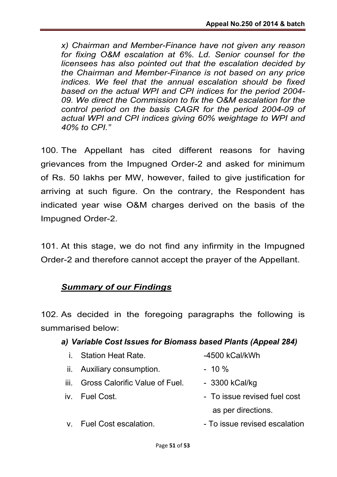*x) Chairman and Member-Finance have not given any reason for fixing O&M escalation at 6%. Ld. Senior counsel for the licensees has also pointed out that the escalation decided by the Chairman and Member-Finance is not based on any price indices. We feel that the annual escalation should be fixed based on the actual WPI and CPI indices for the period 2004- 09. We direct the Commission to fix the O&M escalation for the control period on the basis CAGR for the period 2004-09 of actual WPI and CPI indices giving 60% weightage to WPI and 40% to CPI."*

100. The Appellant has cited different reasons for having grievances from the Impugned Order-2 and asked for minimum of Rs. 50 lakhs per MW, however, failed to give justification for arriving at such figure. On the contrary, the Respondent has indicated year wise O&M charges derived on the basis of the Impugned Order-2.

101. At this stage, we do not find any infirmity in the Impugned Order-2 and therefore cannot accept the prayer of the Appellant.

## *Summary of our Findings*

102. As decided in the foregoing paragraphs the following is summarised below:

## *a) Variable Cost Issues for Biomass based Plants (Appeal 284)*

| $\mathbf{i}$ . | <b>Station Heat Rate.</b>           | -4500 kCal/kWh                |
|----------------|-------------------------------------|-------------------------------|
|                | ii. Auxiliary consumption.          | $-10 \%$                      |
|                | iii. Gross Calorific Value of Fuel. | $-3300$ kCal/kg               |
|                | iv. Fuel Cost.                      | - To issue revised fuel cost  |
|                |                                     | as per directions.            |
|                | v. Fuel Cost escalation.            | - To issue revised escalation |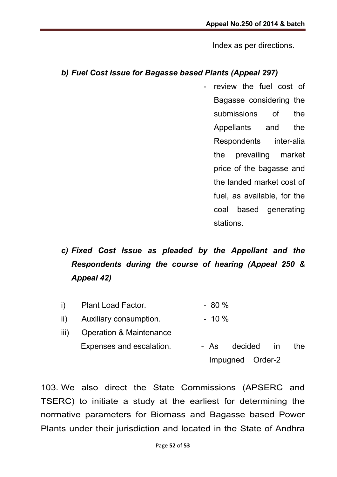Index as per directions.

### *b) Fuel Cost Issue for Bagasse based Plants (Appeal 297)*

- review the fuel cost of Bagasse considering the submissions of the Appellants and the Respondents inter-alia the prevailing market price of the bagasse and the landed market cost of fuel, as available, for the coal based generating stations.

# *c) Fixed Cost Issue as pleaded by the Appellant and the Respondents during the course of hearing (Appeal 250 & Appeal 42)*

- i) Plant Load Factor. 4. All Allen And Post
- ii) Auxiliary consumption.  $\sim$  10 %
- iii) Operation & Maintenance Expenses and escalation. The As decided in the Impugned Order-2

103. We also direct the State Commissions (APSERC and TSERC) to initiate a study at the earliest for determining the normative parameters for Biomass and Bagasse based Power Plants under their jurisdiction and located in the State of Andhra